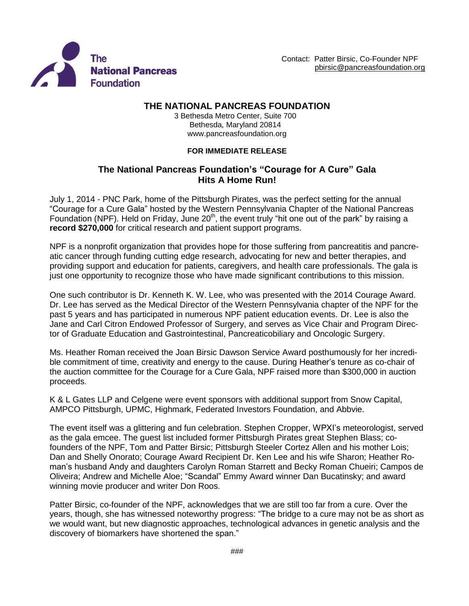



## **THE NATIONAL PANCREAS FOUNDATION**

3 Bethesda Metro Center, Suite 700 Bethesda, Maryland 20814 [www.pancreasfoundation.org](http://www.pancreasfoundation.org/)

## **FOR IMMEDIATE RELEASE**

## **The National Pancreas Foundation's "Courage for A Cure" Gala Hits A Home Run!**

July 1, 2014 - PNC Park, home of the Pittsburgh Pirates, was the perfect setting for the annual "Courage for a Cure Gala" hosted by the Western Pennsylvania Chapter of the National Pancreas Foundation (NPF). Held on Friday, June 20<sup>th</sup>, the event truly "hit one out of the park" by raising a **record \$270,000** for critical research and patient support programs.

NPF is a nonprofit organization that provides hope for those suffering from pancreatitis and pancreatic cancer through funding cutting edge research, advocating for new and better therapies, and providing support and education for patients, caregivers, and health care professionals. The gala is just one opportunity to recognize those who have made significant contributions to this mission.

One such contributor is Dr. Kenneth K. W. Lee, who was presented with the 2014 Courage Award. Dr. Lee has served as the Medical Director of the Western Pennsylvania chapter of the NPF for the past 5 years and has participated in numerous NPF patient education events. Dr. Lee is also the Jane and Carl Citron Endowed Professor of Surgery, and serves as Vice Chair and Program Director of Graduate Education and Gastrointestinal, Pancreaticobiliary and Oncologic Surgery.

Ms. Heather Roman received the Joan Birsic Dawson Service Award posthumously for her incredible commitment of time, creativity and energy to the cause. During Heather's tenure as co-chair of the auction committee for the Courage for a Cure Gala, NPF raised more than \$300,000 in auction proceeds.

K & L Gates LLP and Celgene were event sponsors with additional support from Snow Capital, AMPCO Pittsburgh, UPMC, Highmark, Federated Investors Foundation, and Abbvie.

The event itself was a glittering and fun celebration. Stephen Cropper, WPXI's meteorologist, served as the gala emcee. The guest list included former Pittsburgh Pirates great Stephen Blass; cofounders of the NPF, Tom and Patter Birsic; Pittsburgh Steeler Cortez Allen and his mother Lois; Dan and Shelly Onorato; Courage Award Recipient Dr. Ken Lee and his wife Sharon; Heather Roman's husband Andy and daughters Carolyn Roman Starrett and Becky Roman Chueiri; Campos de Oliveira; Andrew and Michelle Aloe; "Scandal" Emmy Award winner Dan Bucatinsky; and award winning movie producer and writer Don Roos.

Patter Birsic, co-founder of the NPF, acknowledges that we are still too far from a cure. Over the years, though, she has witnessed noteworthy progress: "The bridge to a cure may not be as short as we would want, but new diagnostic approaches, technological advances in genetic analysis and the discovery of biomarkers have shortened the span."